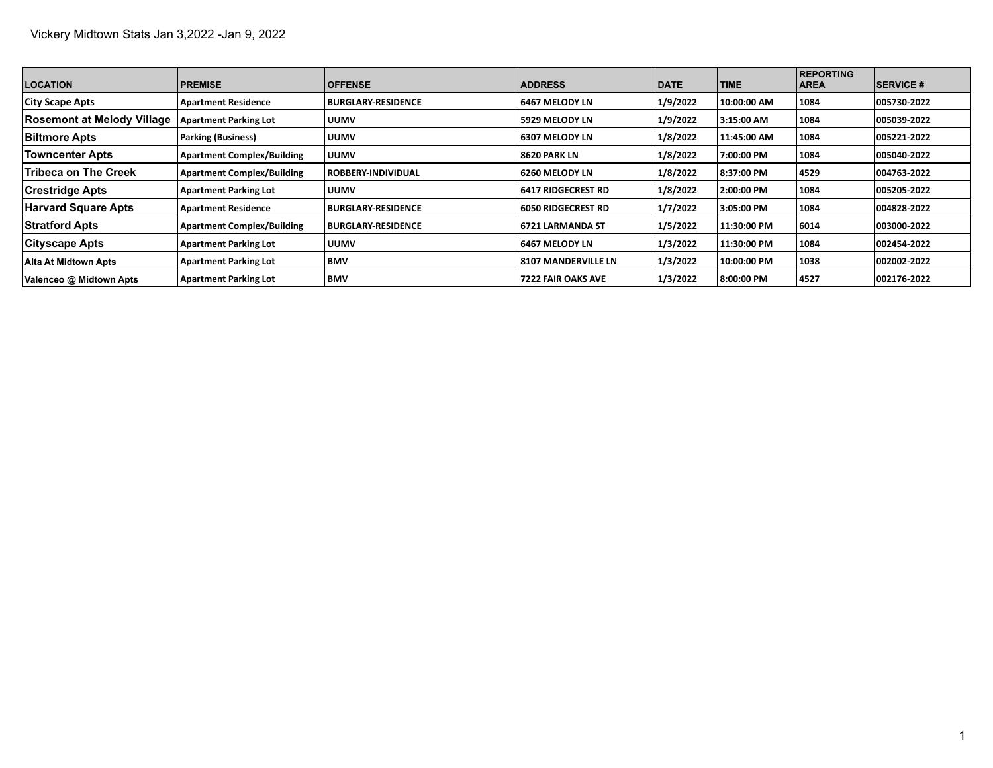| <b>LOCATION</b>                   | <b>PREMISE</b>                    | <b>OFFENSE</b>            | <b>ADDRESS</b>            | <b>DATE</b> | <b>TIME</b> | <b>REPORTING</b><br><b>AREA</b> | <b>SERVICE #</b> |
|-----------------------------------|-----------------------------------|---------------------------|---------------------------|-------------|-------------|---------------------------------|------------------|
| <b>City Scape Apts</b>            | <b>Apartment Residence</b>        | <b>BURGLARY-RESIDENCE</b> | 6467 MELODY LN            | 1/9/2022    | 10:00:00 AM | 1084                            | 005730-2022      |
| <b>Rosemont at Melody Village</b> | <b>Apartment Parking Lot</b>      | <b>UUMV</b>               | 5929 MELODY LN            | 1/9/2022    | 3:15:00 AM  | 1084                            | 005039-2022      |
| <b>Biltmore Apts</b>              | <b>Parking (Business)</b>         | <b>UUMV</b>               | <b>6307 MELODY LN</b>     | 1/8/2022    | 11:45:00 AM | 1084                            | 005221-2022      |
| <b>Towncenter Apts</b>            | <b>Apartment Complex/Building</b> | <b>UUMV</b>               | 8620 PARK LN              | 1/8/2022    | 7:00:00 PM  | 1084                            | 005040-2022      |
| Tribeca on The Creek              | <b>Apartment Complex/Building</b> | <b>ROBBERY-INDIVIDUAL</b> | 6260 MELODY LN            | 1/8/2022    | 8:37:00 PM  | 4529                            | 004763-2022      |
| <b>Crestridge Apts</b>            | <b>Apartment Parking Lot</b>      | <b>UUMV</b>               | <b>6417 RIDGECREST RD</b> | 1/8/2022    | 2:00:00 PM  | 1084                            | 005205-2022      |
| <b>Harvard Square Apts</b>        | <b>Apartment Residence</b>        | <b>BURGLARY-RESIDENCE</b> | 6050 RIDGECREST RD        | 1/7/2022    | 3:05:00 PM  | 1084                            | 004828-2022      |
| <b>Stratford Apts</b>             | <b>Apartment Complex/Building</b> | <b>BURGLARY RESIDENCE</b> | 16721 LARMANDA ST         | 1/5/2022    | 11:30:00 PM | 6014                            | 003000-2022      |
| Cityscape Apts                    | <b>Apartment Parking Lot</b>      | <b>UUMV</b>               | 6467 MELODY LN            | 1/3/2022    | 11:30:00 PM | 1084                            | 002454-2022      |
| <b>Alta At Midtown Apts</b>       | <b>Apartment Parking Lot</b>      | <b>BMV</b>                | 8107 MANDERVILLE LN       | 1/3/2022    | 10:00:00 PM | 1038                            | 002002-2022      |
| Valenceo @ Midtown Apts           | <b>Apartment Parking Lot</b>      | <b>BMV</b>                | <b>7222 FAIR OAKS AVE</b> | 1/3/2022    | 8:00:00 PM  | 4527                            | 002176-2022      |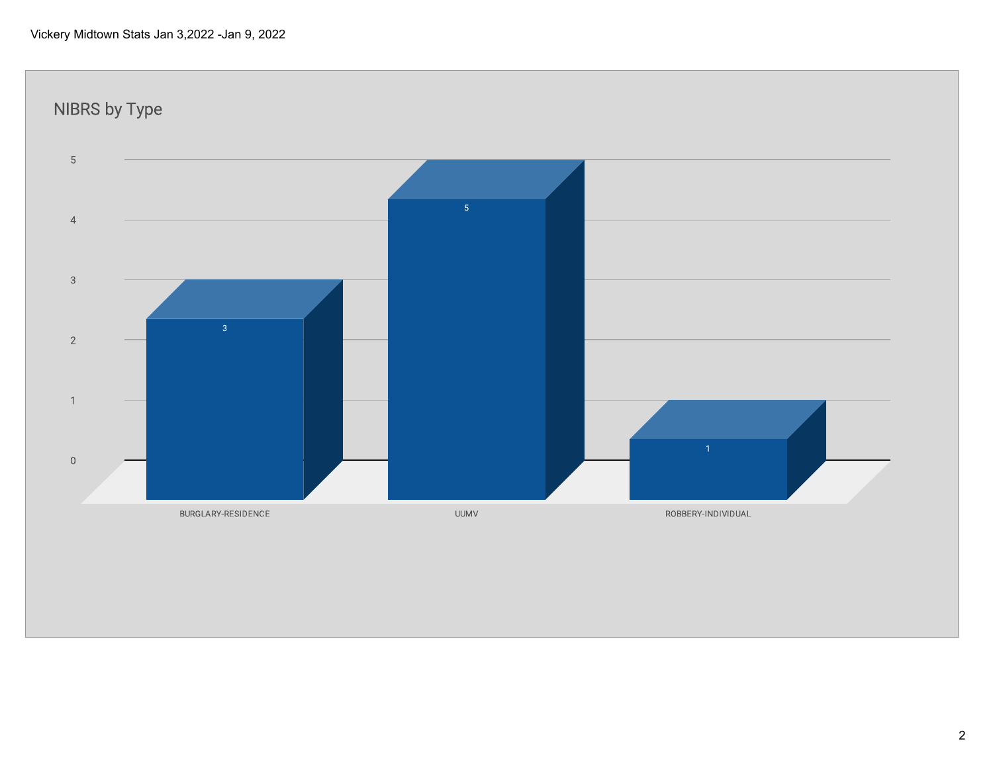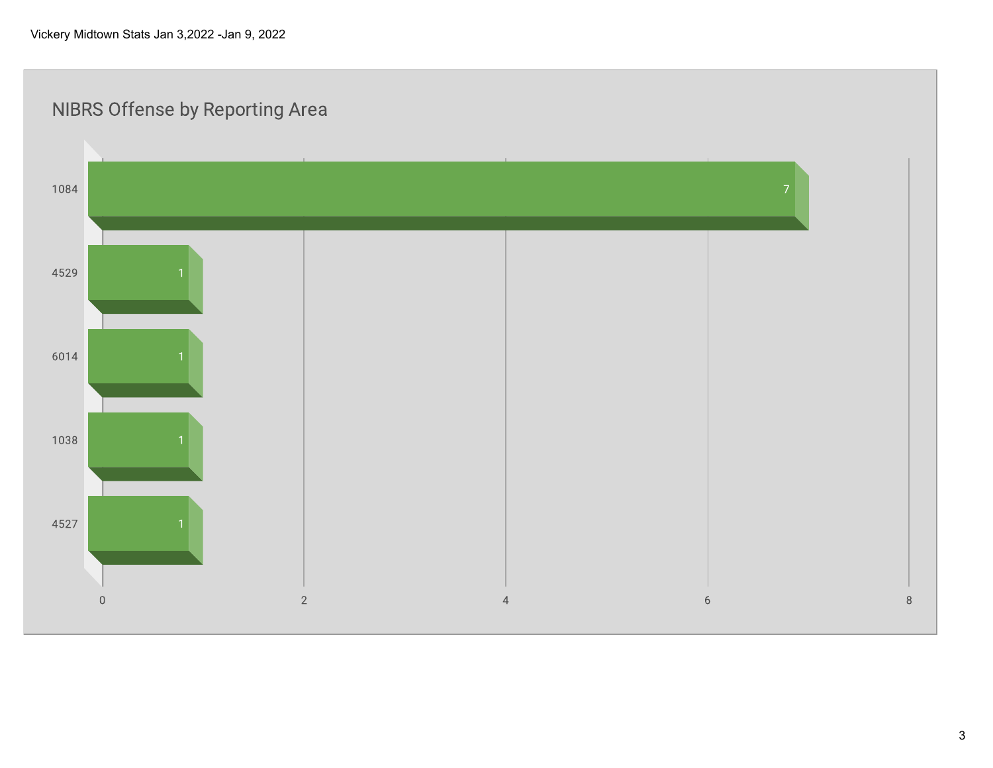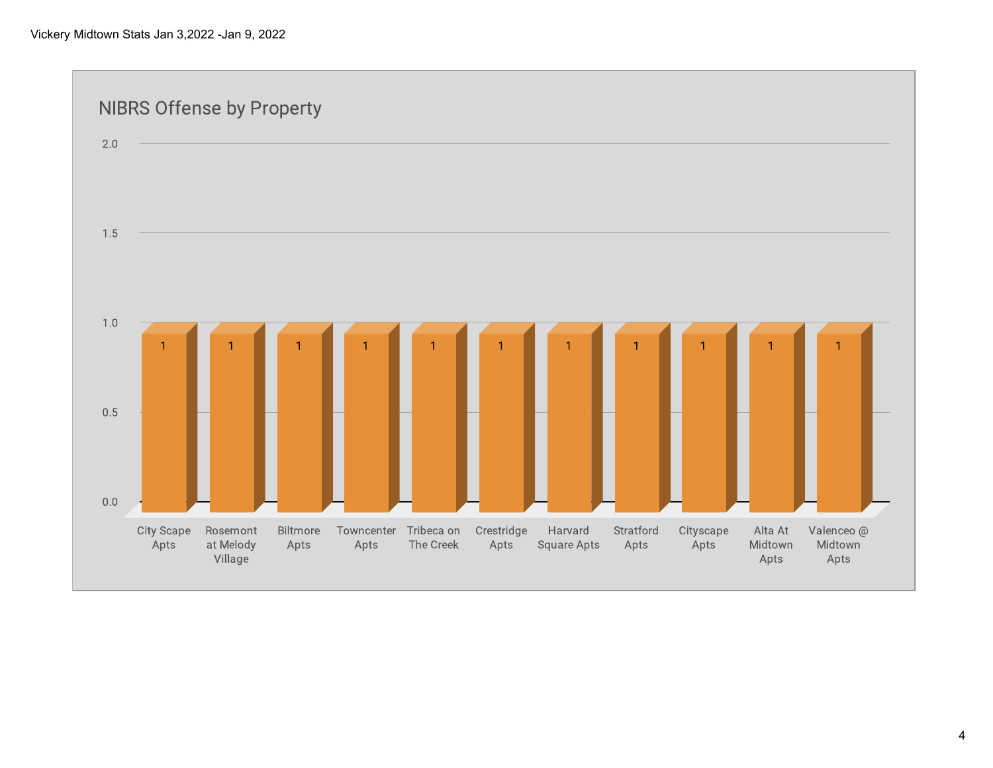